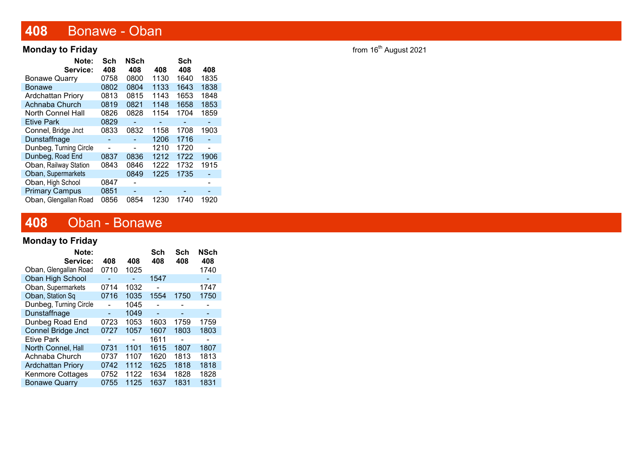# 408 Bonawe - Oban

#### **Monday to Friday from 16<sup>th</sup> August 2021**

| Note:                    | Sch  | <b>NSch</b> |      | Sch  |                          |
|--------------------------|------|-------------|------|------|--------------------------|
| Service:                 | 408  | 408         | 408  | 408  | 408                      |
| <b>Bonawe Quarry</b>     | 0758 | 0800        | 1130 | 1640 | 1835                     |
| Bonawe                   | 0802 | 0804        | 1133 | 1643 | 1838                     |
| <b>Ardchattan Priory</b> | 0813 | 0815        | 1143 | 1653 | 1848                     |
| Achnaba Church           | 0819 | 0821        | 1148 | 1658 | 1853                     |
| North Connel Hall        | 0826 | 0828        | 1154 | 1704 | 1859                     |
| <b>Etive Park</b>        | 0829 |             |      |      |                          |
| Connel, Bridge Jnct      | 0833 | 0832        | 1158 | 1708 | 1903                     |
| Dunstaffnage             |      |             | 1206 | 1716 |                          |
| Dunbeg, Turning Circle   |      |             | 1210 | 1720 | $\overline{\phantom{0}}$ |
| Dunbeg, Road End         | 0837 | 0836        | 1212 | 1722 | 1906                     |
| Oban, Railway Station    | 0843 | 0846        | 1222 | 1732 | 1915                     |
| Oban, Supermarkets       |      | 0849        | 1225 | 1735 |                          |
| Oban, High School        | 0847 |             |      |      |                          |
| <b>Primary Campus</b>    | 0851 |             |      |      |                          |
| Oban, Glengallan Road    | 0856 | 0854        | 1230 | 1740 | 1920                     |

# 408 Oban - Bonawe

#### Monday to Friday

| Note:                     |      |      | Sch  | Sch  | <b>NSch</b> |
|---------------------------|------|------|------|------|-------------|
| Service:                  | 408  | 408  | 408  | 408  | 408         |
| Oban, Glengallan Road     | 0710 | 1025 |      |      | 1740        |
| Oban High School          |      |      | 1547 |      |             |
| Oban, Supermarkets        | 0714 | 1032 |      |      | 1747        |
| Oban, Station Sq          | 0716 | 1035 | 1554 | 1750 | 1750        |
| Dunbeg, Turning Circle    |      | 1045 |      |      |             |
| Dunstaffnage              |      | 1049 |      |      |             |
| Dunbeg Road End           | 0723 | 1053 | 1603 | 1759 | 1759        |
| <b>Connel Bridge Jnct</b> | 0727 | 1057 | 1607 | 1803 | 1803        |
| <b>Etive Park</b>         |      |      | 1611 |      |             |
| North Connel, Hall        | 0731 | 1101 | 1615 | 1807 | 1807        |
| Achnaba Church            | 0737 | 1107 | 1620 | 1813 | 1813        |
| <b>Ardchattan Priory</b>  | 0742 | 1112 | 1625 | 1818 | 1818        |
| <b>Kenmore Cottages</b>   | 0752 | 1122 | 1634 | 1828 | 1828        |
| <b>Bonawe Quarry</b>      | 0755 | 1125 | 1637 | 1831 | 1831        |